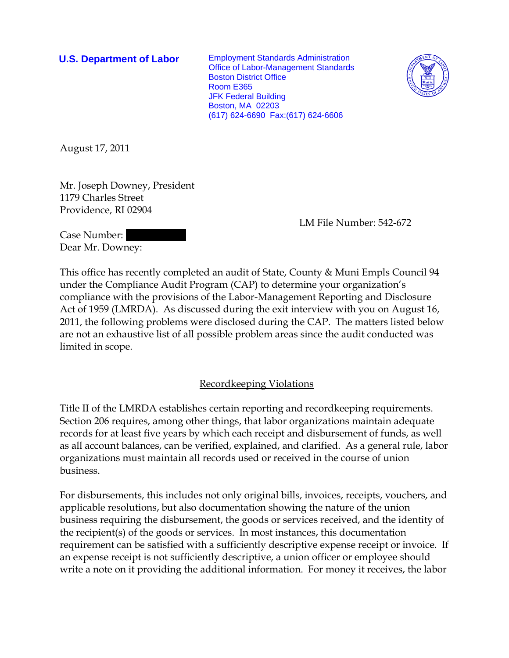**U.S. Department of Labor** Employment Standards Administration Office of Labor-Management Standards Boston District Office Room E365 JFK Federal Building Boston, MA 02203 (617) 624-6690 Fax:(617) 624-6606



August 17, 2011

Mr. Joseph Downey, President 1179 Charles Street Providence, RI 02904

LM File Number: 542-672

Case Number: Dear Mr. Downey:

This office has recently completed an audit of State, County & Muni Empls Council 94 under the Compliance Audit Program (CAP) to determine your organization's compliance with the provisions of the Labor-Management Reporting and Disclosure Act of 1959 (LMRDA). As discussed during the exit interview with you on August 16, 2011, the following problems were disclosed during the CAP. The matters listed below are not an exhaustive list of all possible problem areas since the audit conducted was limited in scope.

## Recordkeeping Violations

Title II of the LMRDA establishes certain reporting and recordkeeping requirements. Section 206 requires, among other things, that labor organizations maintain adequate records for at least five years by which each receipt and disbursement of funds, as well as all account balances, can be verified, explained, and clarified. As a general rule, labor organizations must maintain all records used or received in the course of union business.

For disbursements, this includes not only original bills, invoices, receipts, vouchers, and applicable resolutions, but also documentation showing the nature of the union business requiring the disbursement, the goods or services received, and the identity of the recipient(s) of the goods or services. In most instances, this documentation requirement can be satisfied with a sufficiently descriptive expense receipt or invoice. If an expense receipt is not sufficiently descriptive, a union officer or employee should write a note on it providing the additional information. For money it receives, the labor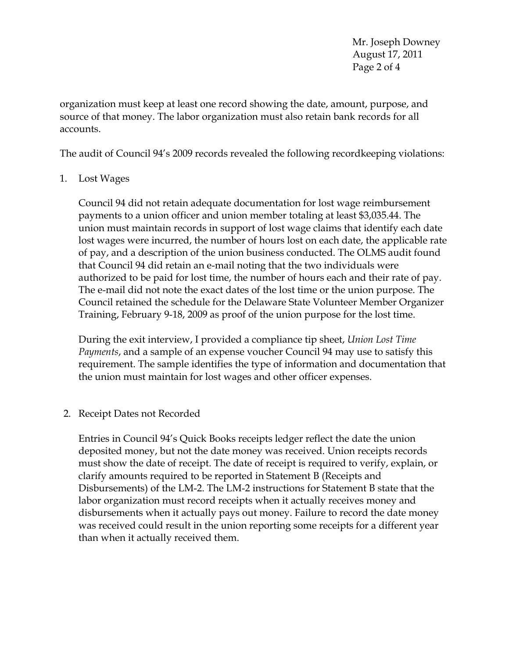Mr. Joseph Downey August 17, 2011 Page 2 of 4

organization must keep at least one record showing the date, amount, purpose, and source of that money. The labor organization must also retain bank records for all accounts.

The audit of Council 94's 2009 records revealed the following recordkeeping violations:

1. Lost Wages

Council 94 did not retain adequate documentation for lost wage reimbursement payments to a union officer and union member totaling at least \$3,035.44. The union must maintain records in support of lost wage claims that identify each date lost wages were incurred, the number of hours lost on each date, the applicable rate of pay, and a description of the union business conducted. The OLMS audit found that Council 94 did retain an e-mail noting that the two individuals were authorized to be paid for lost time, the number of hours each and their rate of pay. The e-mail did not note the exact dates of the lost time or the union purpose. The Council retained the schedule for the Delaware State Volunteer Member Organizer Training, February 9-18, 2009 as proof of the union purpose for the lost time.

During the exit interview, I provided a compliance tip sheet, *Union Lost Time Payments*, and a sample of an expense voucher Council 94 may use to satisfy this requirement. The sample identifies the type of information and documentation that the union must maintain for lost wages and other officer expenses.

2. Receipt Dates not Recorded

Entries in Council 94's Quick Books receipts ledger reflect the date the union deposited money, but not the date money was received. Union receipts records must show the date of receipt. The date of receipt is required to verify, explain, or clarify amounts required to be reported in Statement B (Receipts and Disbursements) of the LM-2. The LM-2 instructions for Statement B state that the labor organization must record receipts when it actually receives money and disbursements when it actually pays out money. Failure to record the date money was received could result in the union reporting some receipts for a different year than when it actually received them.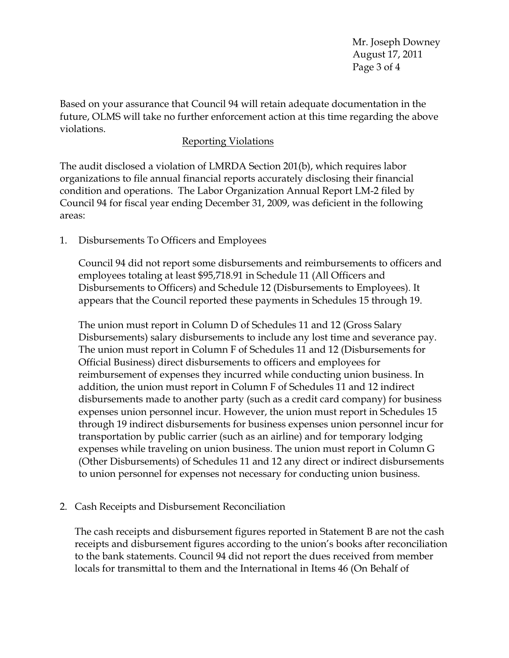Mr. Joseph Downey August 17, 2011 Page 3 of 4

Based on your assurance that Council 94 will retain adequate documentation in the future, OLMS will take no further enforcement action at this time regarding the above violations.

## Reporting Violations

The audit disclosed a violation of LMRDA Section 201(b), which requires labor organizations to file annual financial reports accurately disclosing their financial condition and operations. The Labor Organization Annual Report LM-2 filed by Council 94 for fiscal year ending December 31, 2009, was deficient in the following areas:

1. Disbursements To Officers and Employees

Council 94 did not report some disbursements and reimbursements to officers and employees totaling at least \$95,718.91 in Schedule 11 (All Officers and Disbursements to Officers) and Schedule 12 (Disbursements to Employees). It appears that the Council reported these payments in Schedules 15 through 19.

The union must report in Column D of Schedules 11 and 12 (Gross Salary Disbursements) salary disbursements to include any lost time and severance pay. The union must report in Column F of Schedules 11 and 12 (Disbursements for Official Business) direct disbursements to officers and employees for reimbursement of expenses they incurred while conducting union business. In addition, the union must report in Column F of Schedules 11 and 12 indirect disbursements made to another party (such as a credit card company) for business expenses union personnel incur. However, the union must report in Schedules 15 through 19 indirect disbursements for business expenses union personnel incur for transportation by public carrier (such as an airline) and for temporary lodging expenses while traveling on union business. The union must report in Column G (Other Disbursements) of Schedules 11 and 12 any direct or indirect disbursements to union personnel for expenses not necessary for conducting union business.

## 2. Cash Receipts and Disbursement Reconciliation

The cash receipts and disbursement figures reported in Statement B are not the cash receipts and disbursement figures according to the union's books after reconciliation to the bank statements. Council 94 did not report the dues received from member locals for transmittal to them and the International in Items 46 (On Behalf of